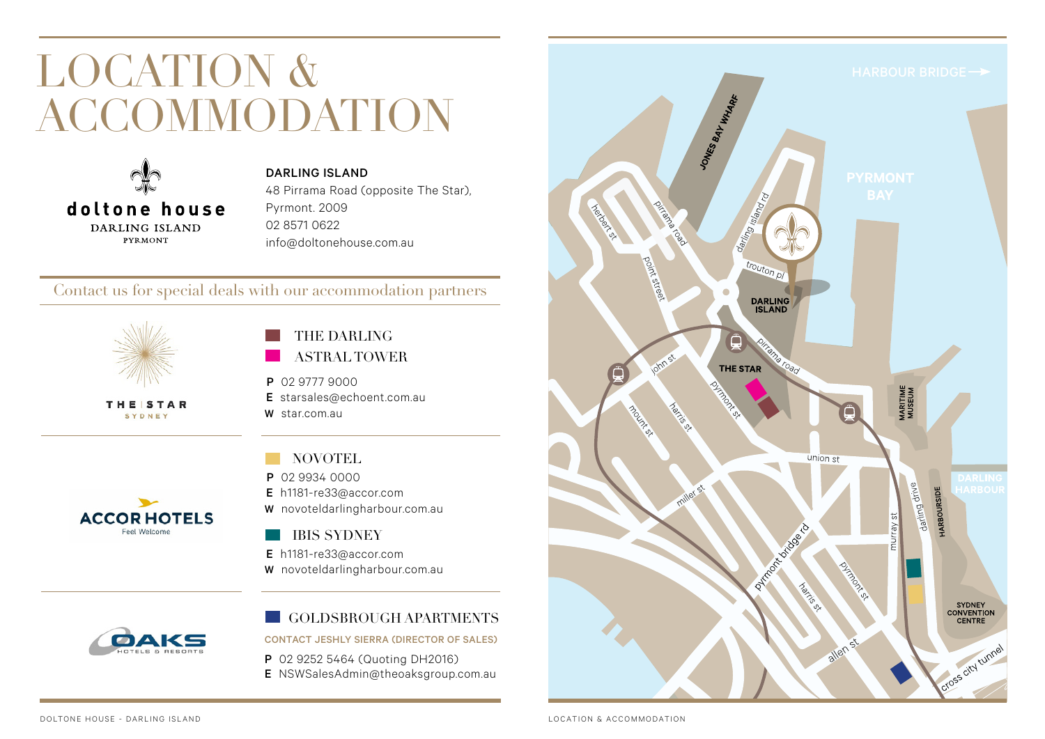## LOCATION & ACCOMMODATION



DARLING ISLAND 48 Pirrama Road (opposite The Star), Pyrmont. 2009 02 8571 0622 info@doltonehouse.com.au

## Contact us for special deals with our accommodation partners

 $\overline{a}$ 



**THESTAR** SYDNEY

## THE DARLING ASTRAL TOWER

- P 02 9777 9000
- E starsales@echoent.com.au W star.com.au

# **ACCORHOTELS**

Feel Welcome

- NOVOTEL
- P 02 9934 0000
- E h1181-re33@accor.com
- W novoteldarlingharbour.com.au

## IBIS SYDNEY

- E h1181-re33@accor.com
- W novoteldarlingharbour.com.au



#### GOLDSBROUGH APARTMENTS

### CONTACT JESHLY SIERRA (DIRECTOR OF SALES)

- P 02 9252 5464 (Quoting DH2016)
- E NSWSalesAdmin@theoaksgroup.com.au

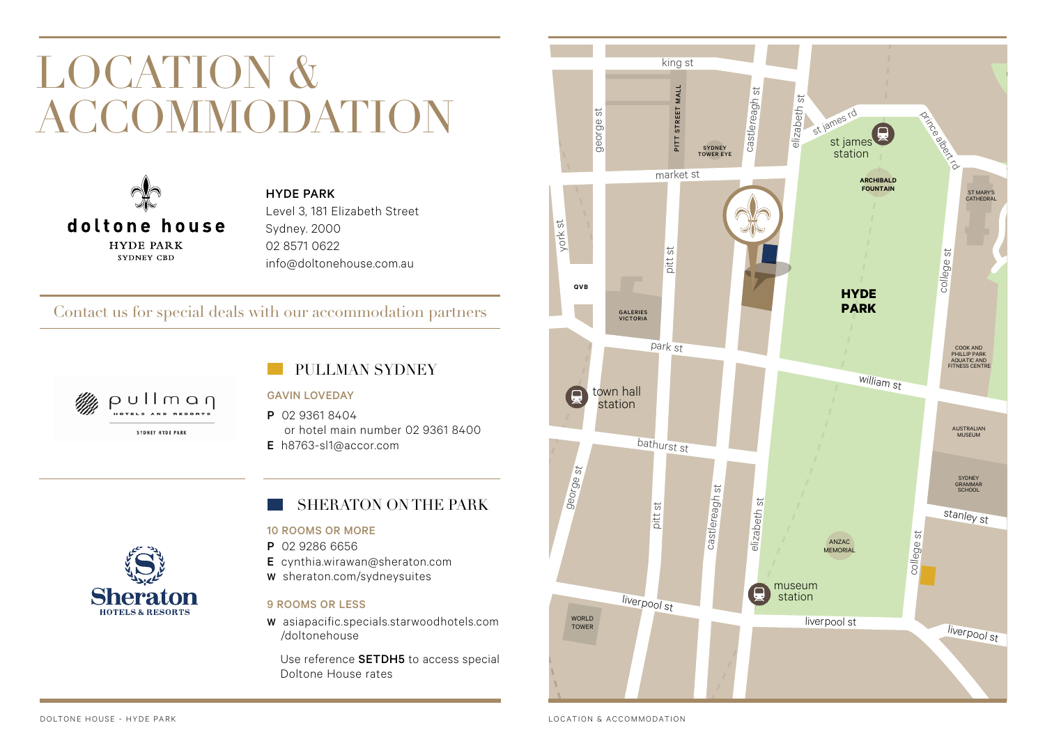## LOCATION & ACCOMMODATION



HYDE PARK Level 3, 181 Elizabeth Street Sydney. 2000 02 8571 0622 info@doltonehouse.com.au

## Contact us for special deals with our accommodation partners



## PULLMAN SYDNEY

#### GAVIN LOVEDAY

P 02 9361 8404 or hotel main number 02 9361 8400

**D<sup>R</sup>**

E h8763-sl1@accor.com



#### 10 ROOMS OR MORE

- P 02 9286 6656
- E cynthia.wirawan@sheraton.com
- W sheraton.com/sydneysuites

#### 9 ROOMS OR LESS

W asiapacific.specials.starwoodhotels.com /doltonehouse

Use reference **SETDH5** to access special Doltone House rates



**Sheraton HOTELS & RESORTS** 

LOCATION & ACCOMMODATION